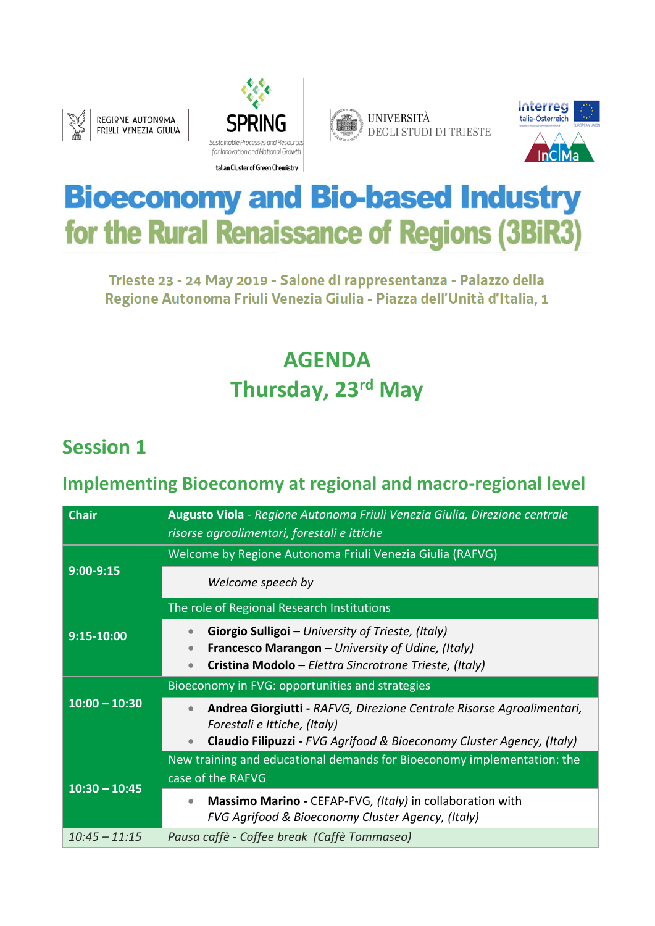







# **Bioeconomy and Bio-based Industry** for the Rural Renaissance of Regions (3BiR3)

Trieste 23 - 24 May 2019 - Salone di rappresentanza - Palazzo della Regione Autonoma Friuli Venezia Giulia - Piazza dell'Unità d'Italia, 1

# **AGENDA Thursday, 23rd May**

## **Session 1**

#### **Implementing Bioeconomy at regional and macro-regional level**

| <b>Chair</b>    | Augusto Viola - Regione Autonoma Friuli Venezia Giulia, Direzione centrale<br>risorse agroalimentari, forestali e ittiche                                                                   |
|-----------------|---------------------------------------------------------------------------------------------------------------------------------------------------------------------------------------------|
| $9:00-9:15$     | Welcome by Regione Autonoma Friuli Venezia Giulia (RAFVG)<br>Welcome speech by                                                                                                              |
| 9:15-10:00      | The role of Regional Research Institutions<br>Giorgio Sulligoi - University of Trieste, (Italy)<br>$\bullet$                                                                                |
|                 | Francesco Marangon - University of Udine, (Italy)<br>Cristina Modolo - Elettra Sincrotrone Trieste, (Italy)                                                                                 |
|                 | Bioeconomy in FVG: opportunities and strategies                                                                                                                                             |
|                 |                                                                                                                                                                                             |
| $10:00 - 10:30$ | Andrea Giorgiutti - RAFVG, Direzione Centrale Risorse Agroalimentari,<br>Forestali e Ittiche, (Italy)<br>Claudio Filipuzzi - FVG Agrifood & Bioeconomy Cluster Agency, (Italy)<br>$\bullet$ |
|                 | New training and educational demands for Bioeconomy implementation: the                                                                                                                     |
|                 | case of the RAFVG                                                                                                                                                                           |
| $10:30 - 10:45$ | Massimo Marino - CEFAP-FVG, (Italy) in collaboration with<br>$\bullet$<br>FVG Agrifood & Bioeconomy Cluster Agency, (Italy)                                                                 |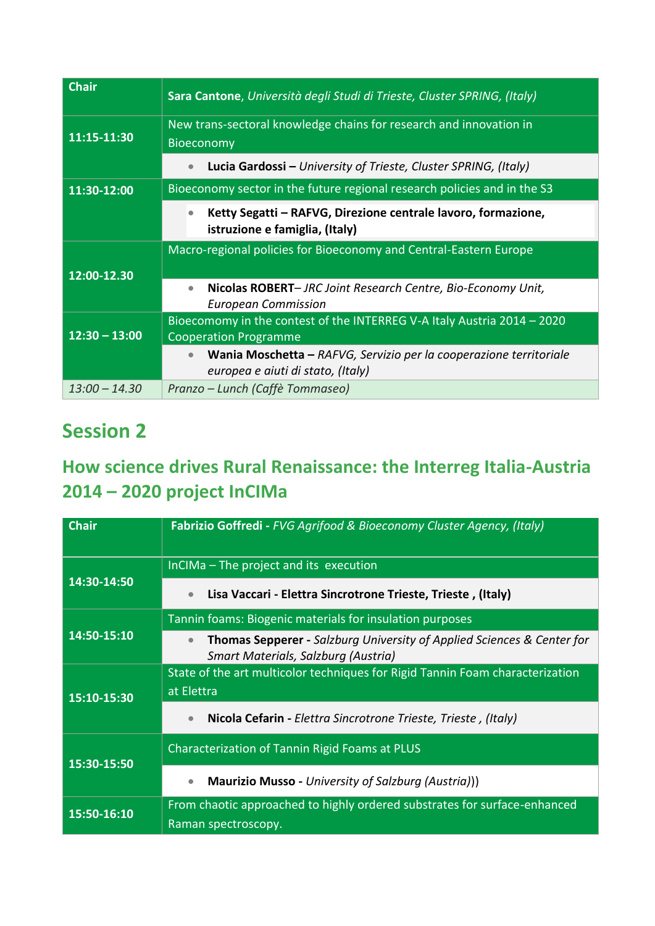| <b>Chair</b>    | Sara Cantone, Università degli Studi di Trieste, Cluster SPRING, (Italy)                                     |
|-----------------|--------------------------------------------------------------------------------------------------------------|
| 11:15-11:30     | New trans-sectoral knowledge chains for research and innovation in<br>Bioeconomy                             |
|                 | Lucia Gardossi - University of Trieste, Cluster SPRING, (Italy)                                              |
| 11:30-12:00     | Bioeconomy sector in the future regional research policies and in the S3                                     |
|                 | Ketty Segatti - RAFVG, Direzione centrale lavoro, formazione,<br>$\bullet$<br>istruzione e famiglia, (Italy) |
| 12:00-12.30     | Macro-regional policies for Bioeconomy and Central-Eastern Europe                                            |
|                 | Nicolas ROBERT- JRC Joint Research Centre, Bio-Economy Unit,<br>$\bullet$<br><b>European Commission</b>      |
| $12:30 - 13:00$ | Bioecomomy in the contest of the INTERREG V-A Italy Austria 2014 - 2020<br><b>Cooperation Programme</b>      |
|                 | Wania Moschetta - RAFVG, Servizio per la cooperazione territoriale<br>europea e aiuti di stato, (Italy)      |
| $13:00 - 14.30$ | Pranzo – Lunch (Caffè Tommaseo)                                                                              |

### **Session 2**

#### **How science drives Rural Renaissance: the Interreg Italia-Austria 2014 – 2020 project InCIMa**

| <b>Chair</b> | Fabrizio Goffredi - FVG Agrifood & Bioeconomy Cluster Agency, (Italy)                                                    |
|--------------|--------------------------------------------------------------------------------------------------------------------------|
| 14:30-14:50  | InCIMa - The project and its execution                                                                                   |
|              | Lisa Vaccari - Elettra Sincrotrone Trieste, Trieste, (Italy)<br>$\bullet$                                                |
|              | Tannin foams: Biogenic materials for insulation purposes                                                                 |
| 14:50-15:10  | <b>Thomas Sepperer - Salzburg University of Applied Sciences &amp; Center for</b><br>Smart Materials, Salzburg (Austria) |
| 15:10-15:30  | State of the art multicolor techniques for Rigid Tannin Foam characterization                                            |
|              | at Elettra                                                                                                               |
|              | Nicola Cefarin - Elettra Sincrotrone Trieste, Trieste, (Italy)<br>$\bullet$                                              |
| 15:30-15:50  | Characterization of Tannin Rigid Foams at PLUS                                                                           |
|              | Maurizio Musso - University of Salzburg (Austria)))<br>$\bullet$                                                         |
| 15:50-16:10  | From chaotic approached to highly ordered substrates for surface-enhanced                                                |
|              | Raman spectroscopy.                                                                                                      |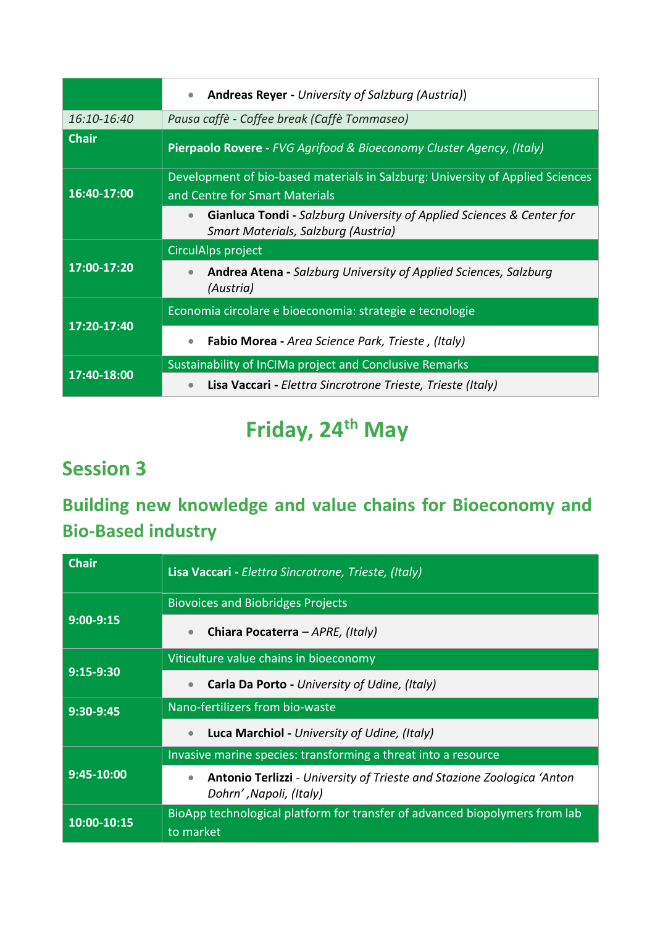|              | <b>Andreas Reyer - University of Salzburg (Austria))</b><br>$\bullet$                                                     |
|--------------|---------------------------------------------------------------------------------------------------------------------------|
| 16:10-16:40  | Pausa caffè - Coffee break (Caffè Tommaseo)                                                                               |
| <b>Chair</b> | Pierpaolo Rovere - FVG Agrifood & Bioeconomy Cluster Agency, (Italy)                                                      |
|              | Development of bio-based materials in Salzburg: University of Applied Sciences                                            |
| 16:40-17:00  | and Centre for Smart Materials                                                                                            |
|              | Gianluca Tondi - Salzburg University of Applied Sciences & Center for<br>$\bullet$<br>Smart Materials, Salzburg (Austria) |
| 17:00-17:20  | CirculAlps project                                                                                                        |
|              | <b>Andrea Atena - Salzburg University of Applied Sciences, Salzburg</b><br>(Austria)                                      |
| 17:20-17:40  | Economia circolare e bioeconomia: strategie e tecnologie                                                                  |
|              | <b>Fabio Morea - Area Science Park, Trieste, (Italy)</b><br>$\bullet$                                                     |
| 17:40-18:00  | Sustainability of InCIMa project and Conclusive Remarks                                                                   |
|              | Lisa Vaccari - Elettra Sincrotrone Trieste, Trieste (Italy)<br>$\bullet$                                                  |

# **Friday, 24th May**

# **Session 3**

# **Building new knowledge and value chains for Bioeconomy and Bio-Based industry**

| <b>Chair</b> | Lisa Vaccari - Elettra Sincrotrone, Trieste, (Italy)                                                                  |
|--------------|-----------------------------------------------------------------------------------------------------------------------|
| $9:00-9:15$  | <b>Biovoices and Biobridges Projects</b>                                                                              |
|              | Chiara Pocaterra - APRE, (Italy)<br>$\bullet$                                                                         |
| $9:15-9:30$  | Viticulture value chains in bioeconomy                                                                                |
|              | Carla Da Porto - University of Udine, (Italy)<br>$\bullet$                                                            |
| 9:30-9:45    | Nano-fertilizers from bio-waste                                                                                       |
|              | Luca Marchiol - University of Udine, (Italy)<br>$\bullet$                                                             |
| 9:45-10:00   | Invasive marine species: transforming a threat into a resource                                                        |
|              | <b>Antonio Terlizzi</b> - University of Trieste and Stazione Zoologica 'Anton<br>$\bullet$<br>Dohrn', Napoli, (Italy) |
| 10:00-10:15  | BioApp technological platform for transfer of advanced biopolymers from lab<br>to market                              |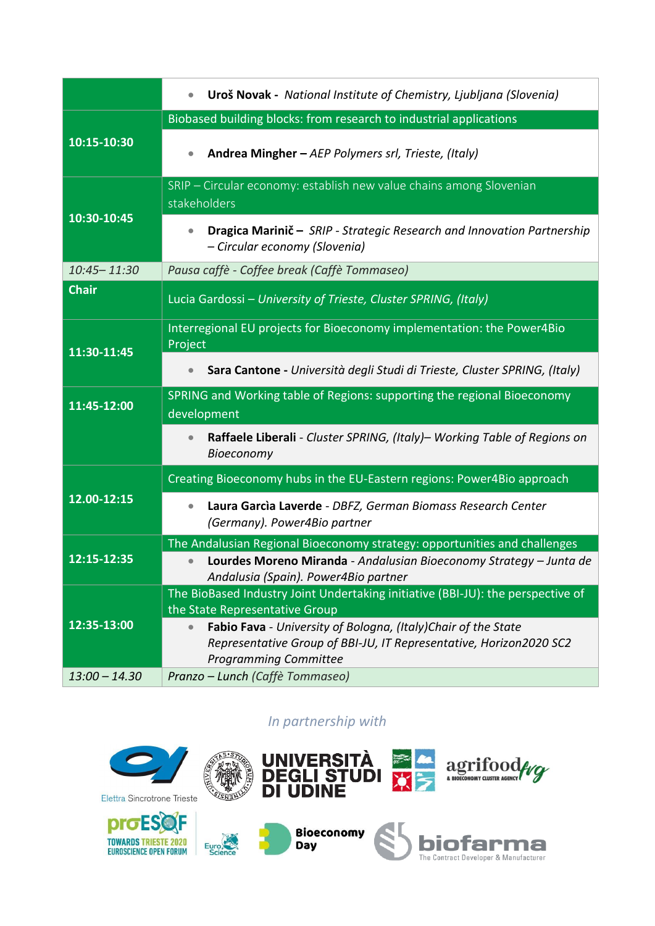|              | Uroš Novak - National Institute of Chemistry, Ljubljana (Slovenia)<br>$\bullet$                                                                                                  |
|--------------|----------------------------------------------------------------------------------------------------------------------------------------------------------------------------------|
|              | Biobased building blocks: from research to industrial applications                                                                                                               |
| 10:15-10:30  | Andrea Mingher - AEP Polymers srl, Trieste, (Italy)<br>$\bullet$                                                                                                                 |
| 10:30-10:45  | SRIP - Circular economy: establish new value chains among Slovenian<br>stakeholders                                                                                              |
|              | Dragica Marinič - SRIP - Strategic Research and Innovation Partnership<br>- Circular economy (Slovenia)                                                                          |
| 10:45-11:30  | Pausa caffè - Coffee break (Caffè Tommaseo)                                                                                                                                      |
| <b>Chair</b> | Lucia Gardossi - University of Trieste, Cluster SPRING, (Italy)                                                                                                                  |
| 11:30-11:45  | Interregional EU projects for Bioeconomy implementation: the Power4Bio<br>Project                                                                                                |
|              | Sara Cantone - Università degli Studi di Trieste, Cluster SPRING, (Italy)                                                                                                        |
| 11:45-12:00  | SPRING and Working table of Regions: supporting the regional Bioeconomy<br>development                                                                                           |
|              | Raffaele Liberali - Cluster SPRING, (Italy)- Working Table of Regions on<br>Bioeconomy                                                                                           |
| 12.00-12:15  | Creating Bioeconomy hubs in the EU-Eastern regions: Power4Bio approach                                                                                                           |
|              | Laura Garcia Laverde - DBFZ, German Biomass Research Center<br>(Germany). Power4Bio partner                                                                                      |
|              | The Andalusian Regional Bioeconomy strategy: opportunities and challenges                                                                                                        |
| 12:15-12:35  | Lourdes Moreno Miranda - Andalusian Bioeconomy Strategy - Junta de                                                                                                               |
|              | Andalusia (Spain). Power4Bio partner                                                                                                                                             |
|              | The BioBased Industry Joint Undertaking initiative (BBI-JU): the perspective of                                                                                                  |
|              | the State Representative Group                                                                                                                                                   |
| 12:35-13:00  | Fabio Fava - University of Bologna, (Italy)Chair of the State<br>$\bullet$<br>Representative Group of BBI-JU, IT Representative, Horizon2020 SC2<br><b>Programming Committee</b> |

*In partnership with* 

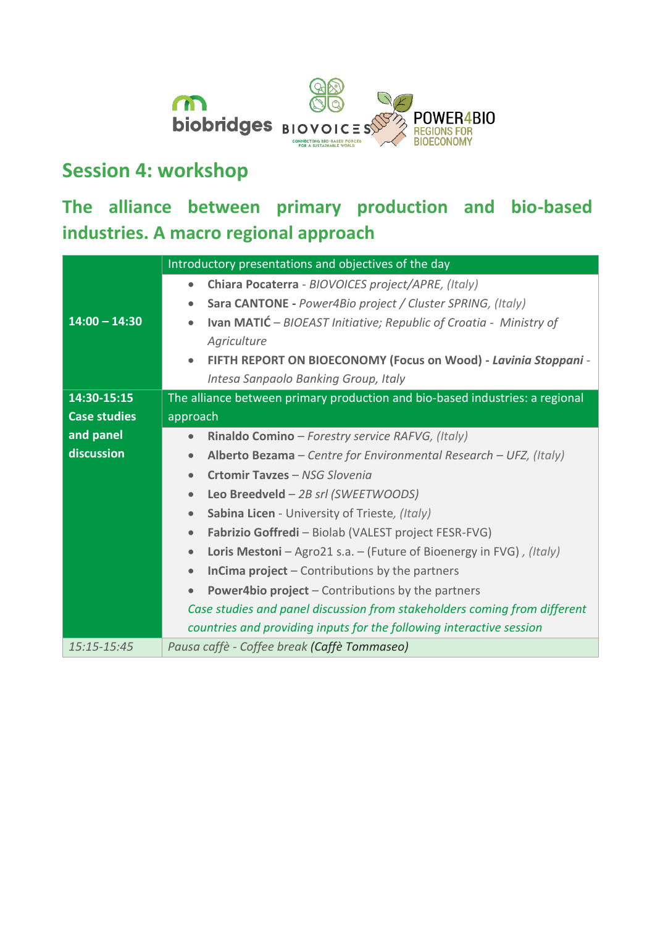

# **Session 4: workshop**

### **The alliance between primary production and bio-based industries. A macro regional approach**

|                     | Introductory presentations and objectives of the day                                   |
|---------------------|----------------------------------------------------------------------------------------|
|                     | Chiara Pocaterra - BIOVOICES project/APRE, (Italy)                                     |
|                     | Sara CANTONE - Power4Bio project / Cluster SPRING, (Italy)                             |
| $14:00 - 14:30$     | <b>Ivan MATIĆ</b> - BIOEAST Initiative; Republic of Croatia - Ministry of<br>$\bullet$ |
|                     | Agriculture                                                                            |
|                     | FIFTH REPORT ON BIOECONOMY (Focus on Wood) - Lavinia Stoppani -<br>$\bullet$           |
|                     | Intesa Sanpaolo Banking Group, Italy                                                   |
| 14:30-15:15         | The alliance between primary production and bio-based industries: a regional           |
| <b>Case studies</b> | approach                                                                               |
| and panel           | Rinaldo Comino - Forestry service RAFVG, (Italy)<br>$\bullet$                          |
| discussion          | Alberto Bezama - Centre for Environmental Research - UFZ, (Italy)<br>$\bullet$         |
|                     | Crtomir Tayzes - NSG Slovenia<br>$\bullet$                                             |
|                     | Leo Breedveld - 2B srl (SWEETWOODS)<br>$\bullet$                                       |
|                     | Sabina Licen - University of Trieste, (Italy)<br>$\bullet$                             |
|                     | Fabrizio Goffredi - Biolab (VALEST project FESR-FVG)<br>$\bullet$                      |
|                     | Loris Mestoni - Agro21 s.a. - (Future of Bioenergy in FVG), (Italy)<br>$\bullet$       |
|                     | <b>InCima project</b> $-$ Contributions by the partners<br>$\bullet$                   |
|                     | <b>Power4bio project - Contributions by the partners</b>                               |
|                     | Case studies and panel discussion from stakeholders coming from different              |
|                     | countries and providing inputs for the following interactive session                   |
| 15:15-15:45         | Pausa caffè - Coffee break (Caffè Tommaseo)                                            |